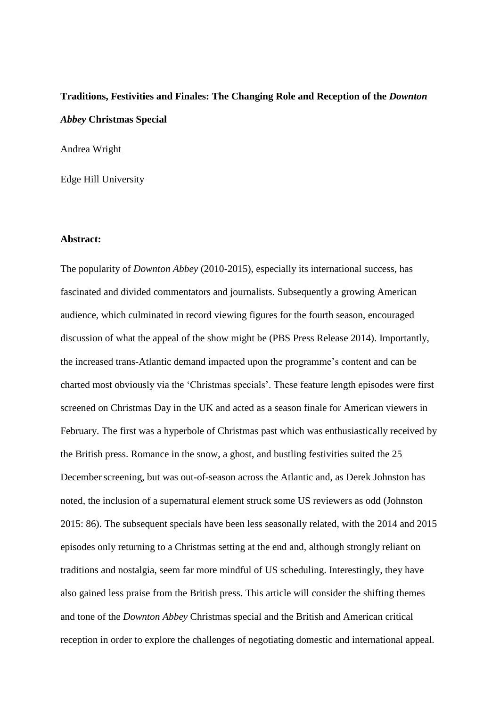# **Traditions, Festivities and Finales: The Changing Role and Reception of the** *Downton Abbey* **Christmas Special**

Andrea Wright

Edge Hill University

#### **Abstract:**

The popularity of *Downton Abbey* (2010-2015), especially its international success, has fascinated and divided commentators and journalists. Subsequently a growing American audience, which culminated in record viewing figures for the fourth season, encouraged discussion of what the appeal of the show might be (PBS Press Release 2014). Importantly, the increased trans-Atlantic demand impacted upon the programme's content and can be charted most obviously via the 'Christmas specials'. These feature length episodes were first screened on Christmas Day in the UK and acted as a season finale for American viewers in February. The first was a hyperbole of Christmas past which was enthusiastically received by the British press. Romance in the snow, a ghost, and bustling festivities suited the 25 December screening, but was out-of-season across the Atlantic and, as Derek Johnston has noted, the inclusion of a supernatural element struck some US reviewers as odd (Johnston 2015: 86). The subsequent specials have been less seasonally related, with the 2014 and 2015 episodes only returning to a Christmas setting at the end and, although strongly reliant on traditions and nostalgia, seem far more mindful of US scheduling. Interestingly, they have also gained less praise from the British press. This article will consider the shifting themes and tone of the *Downton Abbey* Christmas special and the British and American critical reception in order to explore the challenges of negotiating domestic and international appeal.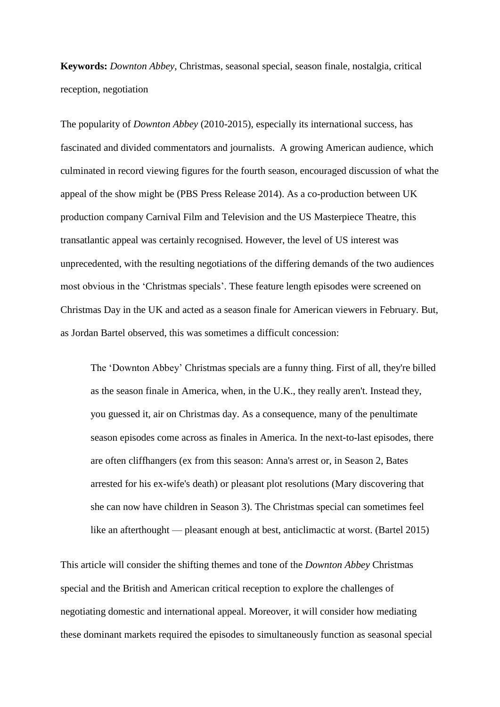**Keywords:** *Downton Abbey*, Christmas, seasonal special, season finale, nostalgia, critical reception, negotiation

The popularity of *Downton Abbey* (2010-2015), especially its international success, has fascinated and divided commentators and journalists. A growing American audience, which culminated in record viewing figures for the fourth season, encouraged discussion of what the appeal of the show might be (PBS Press Release 2014). As a co-production between UK production company Carnival Film and Television and the US Masterpiece Theatre, this transatlantic appeal was certainly recognised. However, the level of US interest was unprecedented, with the resulting negotiations of the differing demands of the two audiences most obvious in the 'Christmas specials'. These feature length episodes were screened on Christmas Day in the UK and acted as a season finale for American viewers in February. But, as Jordan Bartel observed, this was sometimes a difficult concession:

The 'Downton Abbey' Christmas specials are a funny thing. First of all, they're billed as the season finale in America, when, in the U.K., they really aren't. Instead they, you guessed it, air on Christmas day. As a consequence, many of the penultimate season episodes come across as finales in America. In the next-to-last episodes, there are often cliffhangers (ex from this season: Anna's arrest or, in Season 2, Bates arrested for his ex-wife's death) or pleasant plot resolutions (Mary discovering that she can now have children in Season 3). The Christmas special can sometimes feel like an afterthought — pleasant enough at best, anticlimactic at worst. (Bartel 2015)

This article will consider the shifting themes and tone of the *Downton Abbey* Christmas special and the British and American critical reception to explore the challenges of negotiating domestic and international appeal. Moreover, it will consider how mediating these dominant markets required the episodes to simultaneously function as seasonal special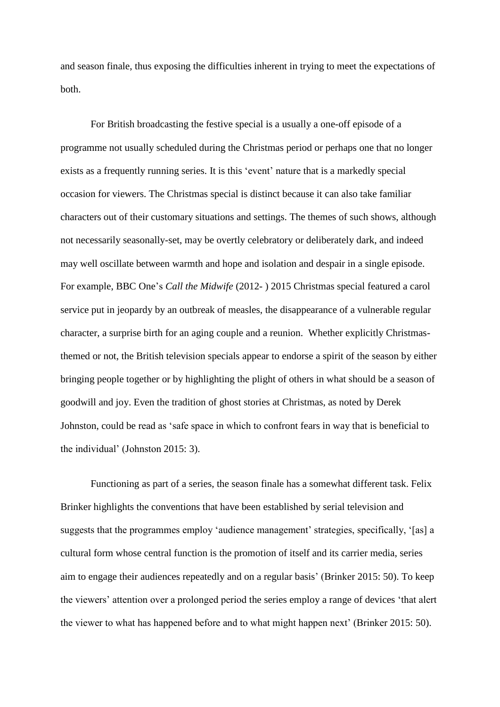and season finale, thus exposing the difficulties inherent in trying to meet the expectations of both.

For British broadcasting the festive special is a usually a one-off episode of a programme not usually scheduled during the Christmas period or perhaps one that no longer exists as a frequently running series. It is this 'event' nature that is a markedly special occasion for viewers. The Christmas special is distinct because it can also take familiar characters out of their customary situations and settings. The themes of such shows, although not necessarily seasonally-set, may be overtly celebratory or deliberately dark, and indeed may well oscillate between warmth and hope and isolation and despair in a single episode. For example, BBC One's *Call the Midwife* (2012- ) 2015 Christmas special featured a carol service put in jeopardy by an outbreak of measles, the disappearance of a vulnerable regular character, a surprise birth for an aging couple and a reunion. Whether explicitly Christmasthemed or not, the British television specials appear to endorse a spirit of the season by either bringing people together or by highlighting the plight of others in what should be a season of goodwill and joy. Even the tradition of ghost stories at Christmas, as noted by Derek Johnston, could be read as 'safe space in which to confront fears in way that is beneficial to the individual' (Johnston 2015: 3).

Functioning as part of a series, the season finale has a somewhat different task. Felix Brinker highlights the conventions that have been established by serial television and suggests that the programmes employ 'audience management' strategies, specifically, '[as] a cultural form whose central function is the promotion of itself and its carrier media, series aim to engage their audiences repeatedly and on a regular basis' (Brinker 2015: 50). To keep the viewers' attention over a prolonged period the series employ a range of devices 'that alert the viewer to what has happened before and to what might happen next' (Brinker 2015: 50).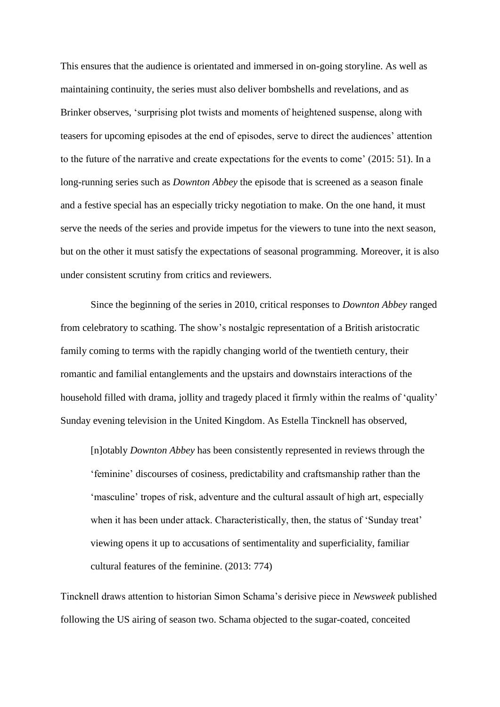This ensures that the audience is orientated and immersed in on-going storyline. As well as maintaining continuity, the series must also deliver bombshells and revelations, and as Brinker observes, 'surprising plot twists and moments of heightened suspense, along with teasers for upcoming episodes at the end of episodes, serve to direct the audiences' attention to the future of the narrative and create expectations for the events to come' (2015: 51). In a long-running series such as *Downton Abbey* the episode that is screened as a season finale and a festive special has an especially tricky negotiation to make. On the one hand, it must serve the needs of the series and provide impetus for the viewers to tune into the next season, but on the other it must satisfy the expectations of seasonal programming. Moreover, it is also under consistent scrutiny from critics and reviewers.

Since the beginning of the series in 2010, critical responses to *Downton Abbey* ranged from celebratory to scathing. The show's nostalgic representation of a British aristocratic family coming to terms with the rapidly changing world of the twentieth century, their romantic and familial entanglements and the upstairs and downstairs interactions of the household filled with drama, jollity and tragedy placed it firmly within the realms of 'quality' Sunday evening television in the United Kingdom. As Estella Tincknell has observed,

[n]otably *Downton Abbey* has been consistently represented in reviews through the 'feminine' discourses of cosiness, predictability and craftsmanship rather than the 'masculine' tropes of risk, adventure and the cultural assault of high art, especially when it has been under attack. Characteristically, then, the status of 'Sunday treat' viewing opens it up to accusations of sentimentality and superficiality, familiar cultural features of the feminine. (2013: 774)

Tincknell draws attention to historian Simon Schama's derisive piece in *Newsweek* published following the US airing of season two. Schama objected to the sugar-coated, conceited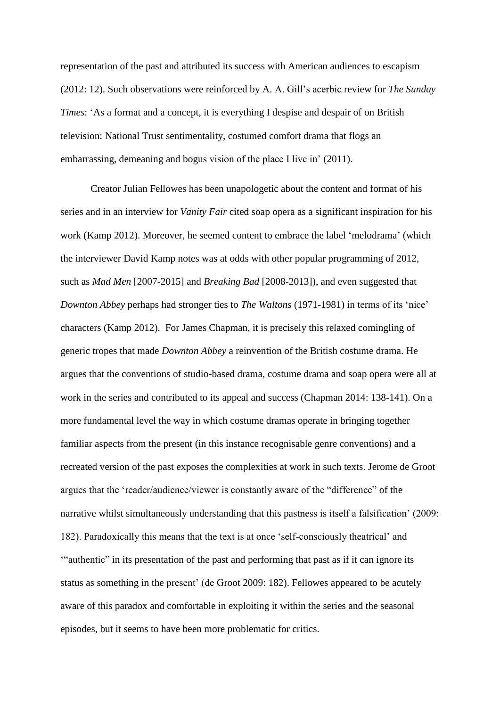representation of the past and attributed its success with American audiences to escapism (2012: 12). Such observations were reinforced by A. A. Gill's acerbic review for *The Sunday Times*: 'As a format and a concept, it is everything I despise and despair of on British television: National Trust sentimentality, costumed comfort drama that flogs an embarrassing, demeaning and bogus vision of the place I live in' (2011).

Creator Julian Fellowes has been unapologetic about the content and format of his series and in an interview for *Vanity Fair* cited soap opera as a significant inspiration for his work (Kamp 2012). Moreover, he seemed content to embrace the label 'melodrama' (which the interviewer David Kamp notes was at odds with other popular programming of 2012, such as *Mad Men* [2007-2015] and *Breaking Bad* [2008-2013]), and even suggested that *Downton Abbey* perhaps had stronger ties to *The Waltons* (1971-1981) in terms of its 'nice' characters (Kamp 2012). For James Chapman, it is precisely this relaxed comingling of generic tropes that made *Downton Abbey* a reinvention of the British costume drama. He argues that the conventions of studio-based drama, costume drama and soap opera were all at work in the series and contributed to its appeal and success (Chapman 2014: 138-141). On a more fundamental level the way in which costume dramas operate in bringing together familiar aspects from the present (in this instance recognisable genre conventions) and a recreated version of the past exposes the complexities at work in such texts. Jerome de Groot argues that the 'reader/audience/viewer is constantly aware of the "difference" of the narrative whilst simultaneously understanding that this pastness is itself a falsification' (2009: 182). Paradoxically this means that the text is at once 'self-consciously theatrical' and '"authentic" in its presentation of the past and performing that past as if it can ignore its status as something in the present' (de Groot 2009: 182). Fellowes appeared to be acutely aware of this paradox and comfortable in exploiting it within the series and the seasonal episodes, but it seems to have been more problematic for critics.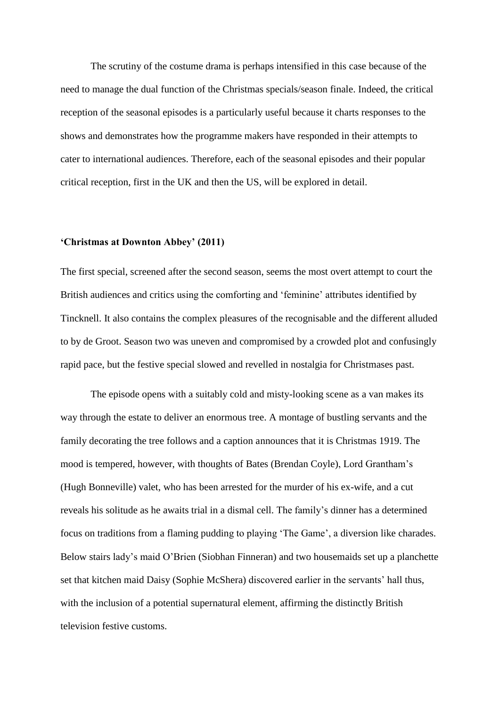The scrutiny of the costume drama is perhaps intensified in this case because of the need to manage the dual function of the Christmas specials/season finale. Indeed, the critical reception of the seasonal episodes is a particularly useful because it charts responses to the shows and demonstrates how the programme makers have responded in their attempts to cater to international audiences. Therefore, each of the seasonal episodes and their popular critical reception, first in the UK and then the US, will be explored in detail.

#### **'Christmas at Downton Abbey' (2011)**

The first special, screened after the second season, seems the most overt attempt to court the British audiences and critics using the comforting and 'feminine' attributes identified by Tincknell. It also contains the complex pleasures of the recognisable and the different alluded to by de Groot. Season two was uneven and compromised by a crowded plot and confusingly rapid pace, but the festive special slowed and revelled in nostalgia for Christmases past.

The episode opens with a suitably cold and misty-looking scene as a van makes its way through the estate to deliver an enormous tree. A montage of bustling servants and the family decorating the tree follows and a caption announces that it is Christmas 1919. The mood is tempered, however, with thoughts of Bates (Brendan Coyle), Lord Grantham's (Hugh Bonneville) valet, who has been arrested for the murder of his ex-wife, and a cut reveals his solitude as he awaits trial in a dismal cell. The family's dinner has a determined focus on traditions from a flaming pudding to playing 'The Game', a diversion like charades. Below stairs lady's maid O'Brien (Siobhan Finneran) and two housemaids set up a planchette set that kitchen maid Daisy (Sophie McShera) discovered earlier in the servants' hall thus, with the inclusion of a potential supernatural element, affirming the distinctly British television festive customs.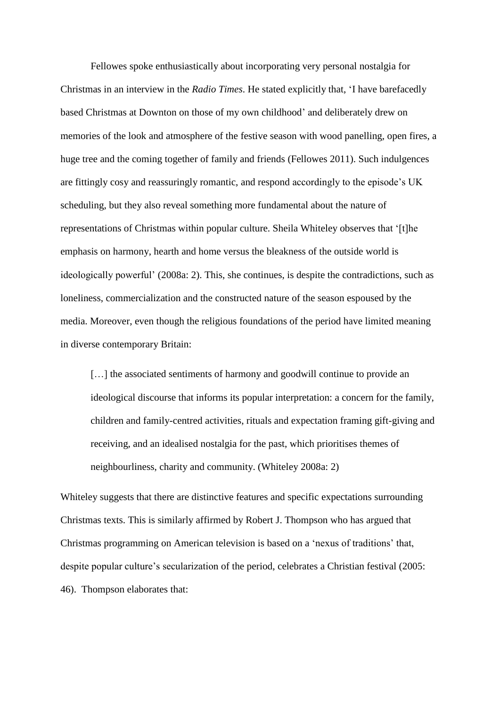Fellowes spoke enthusiastically about incorporating very personal nostalgia for Christmas in an interview in the *Radio Times*. He stated explicitly that, 'I have barefacedly based Christmas at Downton on those of my own childhood' and deliberately drew on memories of the look and atmosphere of the festive season with wood panelling, open fires, a huge tree and the coming together of family and friends (Fellowes 2011). Such indulgences are fittingly cosy and reassuringly romantic, and respond accordingly to the episode's UK scheduling, but they also reveal something more fundamental about the nature of representations of Christmas within popular culture. Sheila Whiteley observes that '[t]he emphasis on harmony, hearth and home versus the bleakness of the outside world is ideologically powerful' (2008a: 2). This, she continues, is despite the contradictions, such as loneliness, commercialization and the constructed nature of the season espoused by the media. Moreover, even though the religious foundations of the period have limited meaning in diverse contemporary Britain:

[...] the associated sentiments of harmony and goodwill continue to provide an ideological discourse that informs its popular interpretation: a concern for the family, children and family-centred activities, rituals and expectation framing gift-giving and receiving, and an idealised nostalgia for the past, which prioritises themes of neighbourliness, charity and community. (Whiteley 2008a: 2)

Whiteley suggests that there are distinctive features and specific expectations surrounding Christmas texts. This is similarly affirmed by Robert J. Thompson who has argued that Christmas programming on American television is based on a 'nexus of traditions' that, despite popular culture's secularization of the period, celebrates a Christian festival (2005: 46). Thompson elaborates that: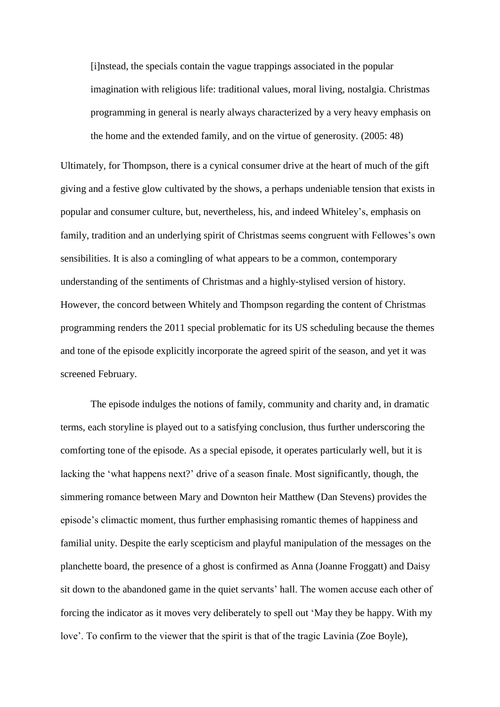[i]nstead, the specials contain the vague trappings associated in the popular imagination with religious life: traditional values, moral living, nostalgia. Christmas programming in general is nearly always characterized by a very heavy emphasis on the home and the extended family, and on the virtue of generosity. (2005: 48)

Ultimately, for Thompson, there is a cynical consumer drive at the heart of much of the gift giving and a festive glow cultivated by the shows, a perhaps undeniable tension that exists in popular and consumer culture, but, nevertheless, his, and indeed Whiteley's, emphasis on family, tradition and an underlying spirit of Christmas seems congruent with Fellowes's own sensibilities. It is also a comingling of what appears to be a common, contemporary understanding of the sentiments of Christmas and a highly-stylised version of history. However, the concord between Whitely and Thompson regarding the content of Christmas programming renders the 2011 special problematic for its US scheduling because the themes and tone of the episode explicitly incorporate the agreed spirit of the season, and yet it was screened February.

The episode indulges the notions of family, community and charity and, in dramatic terms, each storyline is played out to a satisfying conclusion, thus further underscoring the comforting tone of the episode. As a special episode, it operates particularly well, but it is lacking the 'what happens next?' drive of a season finale. Most significantly, though, the simmering romance between Mary and Downton heir Matthew (Dan Stevens) provides the episode's climactic moment, thus further emphasising romantic themes of happiness and familial unity. Despite the early scepticism and playful manipulation of the messages on the planchette board, the presence of a ghost is confirmed as Anna (Joanne Froggatt) and Daisy sit down to the abandoned game in the quiet servants' hall. The women accuse each other of forcing the indicator as it moves very deliberately to spell out 'May they be happy. With my love'. To confirm to the viewer that the spirit is that of the tragic Lavinia (Zoe Boyle),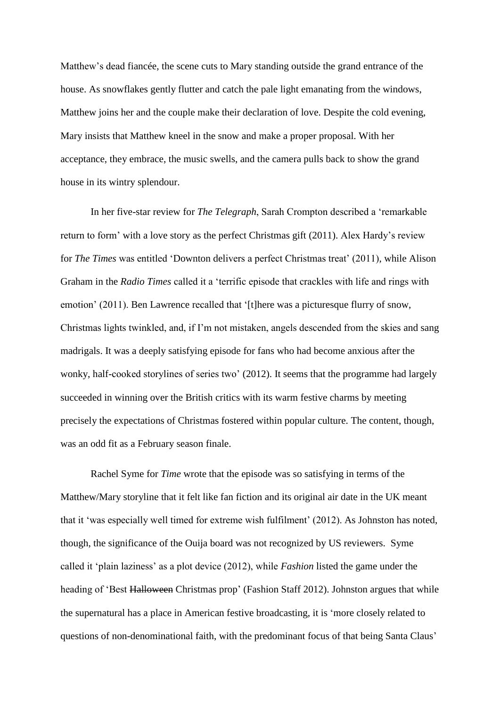Matthew's dead fiancée, the scene cuts to Mary standing outside the grand entrance of the house. As snowflakes gently flutter and catch the pale light emanating from the windows, Matthew joins her and the couple make their declaration of love. Despite the cold evening, Mary insists that Matthew kneel in the snow and make a proper proposal. With her acceptance, they embrace, the music swells, and the camera pulls back to show the grand house in its wintry splendour.

In her five-star review for *The Telegraph*, Sarah Crompton described a 'remarkable return to form' with a love story as the perfect Christmas gift (2011). Alex Hardy's review for *The Times* was entitled 'Downton delivers a perfect Christmas treat' (2011), while Alison Graham in the *Radio Times* called it a 'terrific episode that crackles with life and rings with emotion' (2011). Ben Lawrence recalled that '[t]here was a picturesque flurry of snow, Christmas lights twinkled, and, if I'm not mistaken, angels descended from the skies and sang madrigals. It was a deeply satisfying episode for fans who had become anxious after the wonky, half-cooked storylines of series two' (2012). It seems that the programme had largely succeeded in winning over the British critics with its warm festive charms by meeting precisely the expectations of Christmas fostered within popular culture. The content, though, was an odd fit as a February season finale.

Rachel Syme for *Time* wrote that the episode was so satisfying in terms of the Matthew/Mary storyline that it felt like fan fiction and its original air date in the UK meant that it 'was especially well timed for extreme wish fulfilment' (2012). As Johnston has noted, though, the significance of the Ouija board was not recognized by US reviewers. Syme called it 'plain laziness' as a plot device (2012), while *Fashion* listed the game under the heading of 'Best Halloween Christmas prop' (Fashion Staff 2012). Johnston argues that while the supernatural has a place in American festive broadcasting, it is 'more closely related to questions of non-denominational faith, with the predominant focus of that being Santa Claus'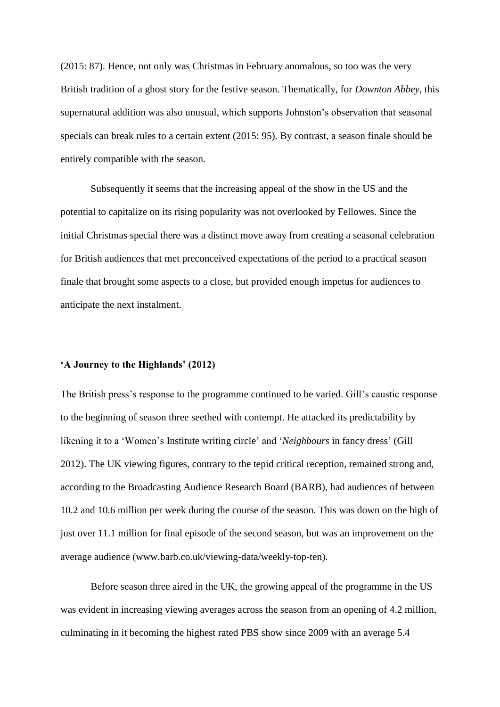(2015: 87). Hence, not only was Christmas in February anomalous, so too was the very British tradition of a ghost story for the festive season. Thematically, for *Downton Abbey*, this supernatural addition was also unusual, which supports Johnston's observation that seasonal specials can break rules to a certain extent (2015: 95). By contrast, a season finale should be entirely compatible with the season.

Subsequently it seems that the increasing appeal of the show in the US and the potential to capitalize on its rising popularity was not overlooked by Fellowes. Since the initial Christmas special there was a distinct move away from creating a seasonal celebration for British audiences that met preconceived expectations of the period to a practical season finale that brought some aspects to a close, but provided enough impetus for audiences to anticipate the next instalment.

### **'A Journey to the Highlands' (2012)**

The British press's response to the programme continued to be varied. Gill's caustic response to the beginning of season three seethed with contempt. He attacked its predictability by likening it to a 'Women's Institute writing circle' and '*Neighbours* in fancy dress' (Gill 2012). The UK viewing figures, contrary to the tepid critical reception, remained strong and, according to the Broadcasting Audience Research Board (BARB), had audiences of between 10.2 and 10.6 million per week during the course of the season. This was down on the high of just over 11.1 million for final episode of the second season, but was an improvement on the average audience (www.barb.co.uk/viewing-data/weekly-top-ten).

Before season three aired in the UK, the growing appeal of the programme in the US was evident in increasing viewing averages across the season from an opening of 4.2 million, culminating in it becoming the highest rated PBS show since 2009 with an average 5.4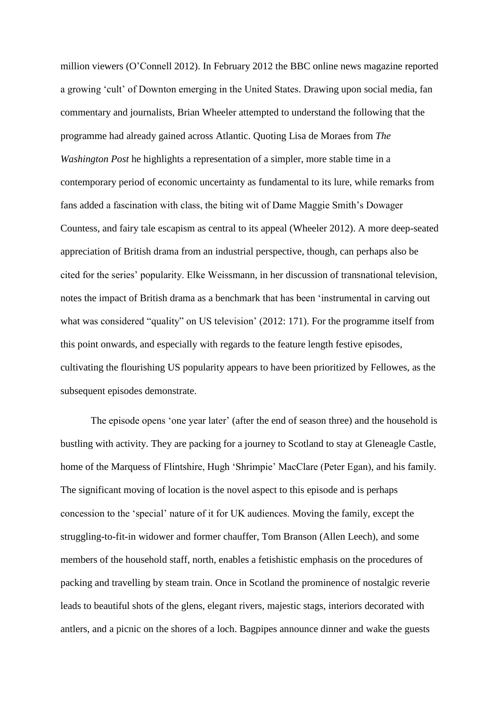million viewers (O'Connell 2012). In February 2012 the BBC online news magazine reported a growing 'cult' of Downton emerging in the United States. Drawing upon social media, fan commentary and journalists, Brian Wheeler attempted to understand the following that the programme had already gained across Atlantic. Quoting Lisa de Moraes from *The Washington Post* he highlights a representation of a simpler, more stable time in a contemporary period of economic uncertainty as fundamental to its lure, while remarks from fans added a fascination with class, the biting wit of Dame Maggie Smith's Dowager Countess, and fairy tale escapism as central to its appeal (Wheeler 2012). A more deep-seated appreciation of British drama from an industrial perspective, though, can perhaps also be cited for the series' popularity. Elke Weissmann, in her discussion of transnational television, notes the impact of British drama as a benchmark that has been 'instrumental in carving out what was considered "quality" on US television' (2012: 171). For the programme itself from this point onwards, and especially with regards to the feature length festive episodes, cultivating the flourishing US popularity appears to have been prioritized by Fellowes, as the subsequent episodes demonstrate.

The episode opens 'one year later' (after the end of season three) and the household is bustling with activity. They are packing for a journey to Scotland to stay at Gleneagle Castle, home of the Marquess of Flintshire, Hugh 'Shrimpie' MacClare (Peter Egan), and his family. The significant moving of location is the novel aspect to this episode and is perhaps concession to the 'special' nature of it for UK audiences. Moving the family, except the struggling-to-fit-in widower and former chauffer, Tom Branson (Allen Leech), and some members of the household staff, north, enables a fetishistic emphasis on the procedures of packing and travelling by steam train. Once in Scotland the prominence of nostalgic reverie leads to beautiful shots of the glens, elegant rivers, majestic stags, interiors decorated with antlers, and a picnic on the shores of a loch. Bagpipes announce dinner and wake the guests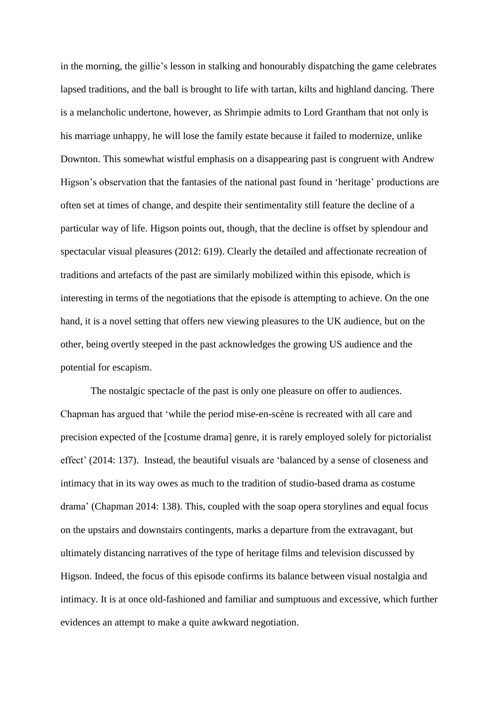in the morning, the gillie's lesson in stalking and honourably dispatching the game celebrates lapsed traditions, and the ball is brought to life with tartan, kilts and highland dancing. There is a melancholic undertone, however, as Shrimpie admits to Lord Grantham that not only is his marriage unhappy, he will lose the family estate because it failed to modernize, unlike Downton. This somewhat wistful emphasis on a disappearing past is congruent with Andrew Higson's observation that the fantasies of the national past found in 'heritage' productions are often set at times of change, and despite their sentimentality still feature the decline of a particular way of life. Higson points out, though, that the decline is offset by splendour and spectacular visual pleasures (2012: 619). Clearly the detailed and affectionate recreation of traditions and artefacts of the past are similarly mobilized within this episode, which is interesting in terms of the negotiations that the episode is attempting to achieve. On the one hand, it is a novel setting that offers new viewing pleasures to the UK audience, but on the other, being overtly steeped in the past acknowledges the growing US audience and the potential for escapism.

The nostalgic spectacle of the past is only one pleasure on offer to audiences. Chapman has argued that 'while the period mise-en-scène is recreated with all care and precision expected of the [costume drama] genre, it is rarely employed solely for pictorialist effect' (2014: 137). Instead, the beautiful visuals are 'balanced by a sense of closeness and intimacy that in its way owes as much to the tradition of studio-based drama as costume drama' (Chapman 2014: 138). This, coupled with the soap opera storylines and equal focus on the upstairs and downstairs contingents, marks a departure from the extravagant, but ultimately distancing narratives of the type of heritage films and television discussed by Higson. Indeed, the focus of this episode confirms its balance between visual nostalgia and intimacy. It is at once old-fashioned and familiar and sumptuous and excessive, which further evidences an attempt to make a quite awkward negotiation.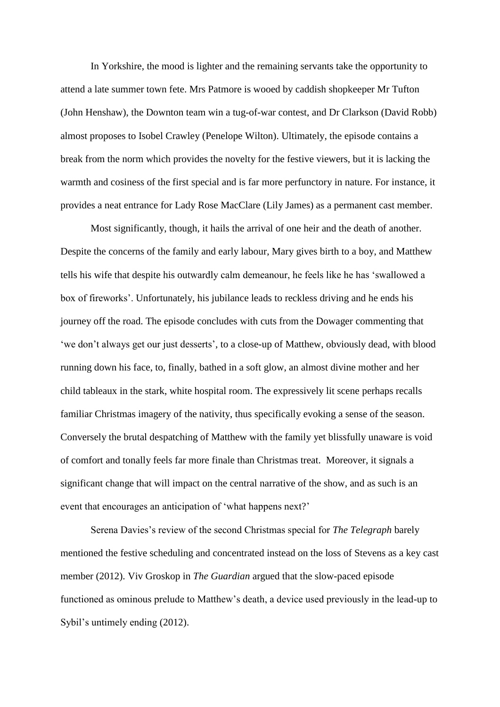In Yorkshire, the mood is lighter and the remaining servants take the opportunity to attend a late summer town fete. Mrs Patmore is wooed by caddish shopkeeper Mr Tufton (John Henshaw), the Downton team win a tug-of-war contest, and Dr Clarkson (David Robb) almost proposes to Isobel Crawley (Penelope Wilton). Ultimately, the episode contains a break from the norm which provides the novelty for the festive viewers, but it is lacking the warmth and cosiness of the first special and is far more perfunctory in nature. For instance, it provides a neat entrance for Lady Rose MacClare (Lily James) as a permanent cast member.

Most significantly, though, it hails the arrival of one heir and the death of another. Despite the concerns of the family and early labour, Mary gives birth to a boy, and Matthew tells his wife that despite his outwardly calm demeanour, he feels like he has 'swallowed a box of fireworks'. Unfortunately, his jubilance leads to reckless driving and he ends his journey off the road. The episode concludes with cuts from the Dowager commenting that 'we don't always get our just desserts', to a close-up of Matthew, obviously dead, with blood running down his face, to, finally, bathed in a soft glow, an almost divine mother and her child tableaux in the stark, white hospital room. The expressively lit scene perhaps recalls familiar Christmas imagery of the nativity, thus specifically evoking a sense of the season. Conversely the brutal despatching of Matthew with the family yet blissfully unaware is void of comfort and tonally feels far more finale than Christmas treat. Moreover, it signals a significant change that will impact on the central narrative of the show, and as such is an event that encourages an anticipation of 'what happens next?'

Serena Davies's review of the second Christmas special for *The Telegraph* barely mentioned the festive scheduling and concentrated instead on the loss of Stevens as a key cast member (2012). Viv Groskop in *The Guardian* argued that the slow-paced episode functioned as ominous prelude to Matthew's death, a device used previously in the lead-up to Sybil's untimely ending (2012).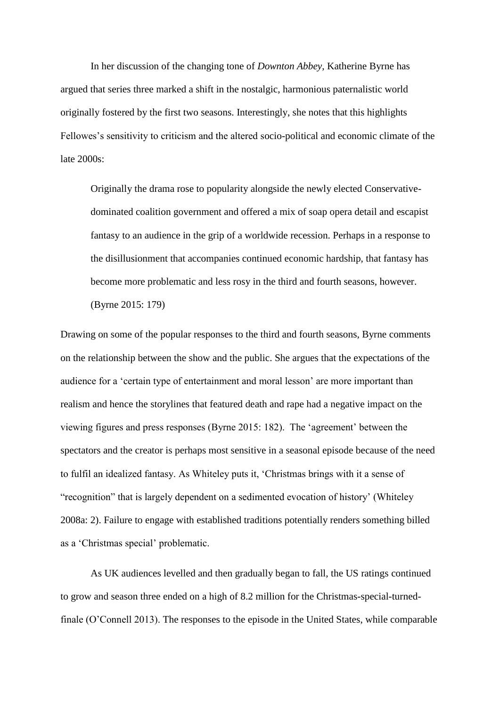In her discussion of the changing tone of *Downton Abbey*, Katherine Byrne has argued that series three marked a shift in the nostalgic, harmonious paternalistic world originally fostered by the first two seasons. Interestingly, she notes that this highlights Fellowes's sensitivity to criticism and the altered socio-political and economic climate of the late 2000s:

Originally the drama rose to popularity alongside the newly elected Conservativedominated coalition government and offered a mix of soap opera detail and escapist fantasy to an audience in the grip of a worldwide recession. Perhaps in a response to the disillusionment that accompanies continued economic hardship, that fantasy has become more problematic and less rosy in the third and fourth seasons, however. (Byrne 2015: 179)

Drawing on some of the popular responses to the third and fourth seasons, Byrne comments on the relationship between the show and the public. She argues that the expectations of the audience for a 'certain type of entertainment and moral lesson' are more important than realism and hence the storylines that featured death and rape had a negative impact on the viewing figures and press responses (Byrne 2015: 182). The 'agreement' between the spectators and the creator is perhaps most sensitive in a seasonal episode because of the need to fulfil an idealized fantasy. As Whiteley puts it, 'Christmas brings with it a sense of "recognition" that is largely dependent on a sedimented evocation of history' (Whiteley 2008a: 2). Failure to engage with established traditions potentially renders something billed as a 'Christmas special' problematic.

As UK audiences levelled and then gradually began to fall, the US ratings continued to grow and season three ended on a high of 8.2 million for the Christmas-special-turnedfinale (O'Connell 2013). The responses to the episode in the United States, while comparable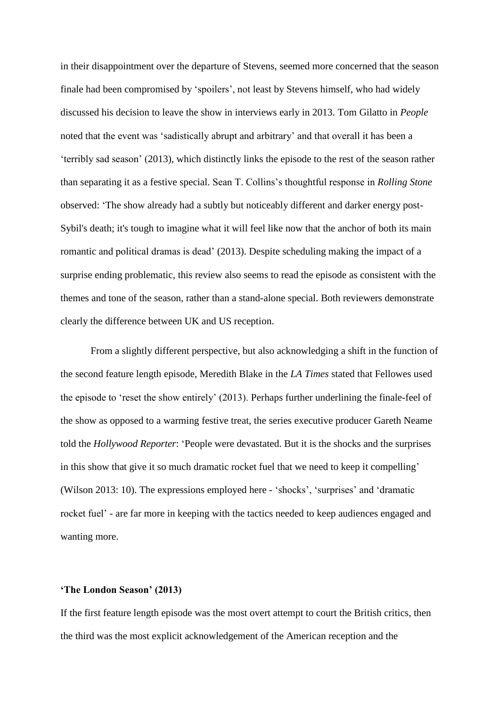in their disappointment over the departure of Stevens, seemed more concerned that the season finale had been compromised by 'spoilers', not least by Stevens himself, who had widely discussed his decision to leave the show in interviews early in 2013. Tom Gilatto in *People* noted that the event was 'sadistically abrupt and arbitrary' and that overall it has been a 'terribly sad season' (2013), which distinctly links the episode to the rest of the season rather than separating it as a festive special. Sean T. Collins's thoughtful response in *Rolling Stone*  observed: 'The show already had a subtly but noticeably different and darker energy post-Sybil's death; it's tough to imagine what it will feel like now that the anchor of both its main romantic and political dramas is dead' (2013). Despite scheduling making the impact of a surprise ending problematic, this review also seems to read the episode as consistent with the themes and tone of the season, rather than a stand-alone special. Both reviewers demonstrate clearly the difference between UK and US reception.

From a slightly different perspective, but also acknowledging a shift in the function of the second feature length episode, Meredith Blake in the *LA Times* stated that Fellowes used the episode to 'reset the show entirely' (2013). Perhaps further underlining the finale-feel of the show as opposed to a warming festive treat, the series executive producer Gareth Neame told the *Hollywood Reporter*: 'People were devastated. But it is the shocks and the surprises in this show that give it so much dramatic rocket fuel that we need to keep it compelling' (Wilson 2013: 10). The expressions employed here - 'shocks', 'surprises' and 'dramatic rocket fuel' - are far more in keeping with the tactics needed to keep audiences engaged and wanting more.

#### **'The London Season' (2013)**

If the first feature length episode was the most overt attempt to court the British critics, then the third was the most explicit acknowledgement of the American reception and the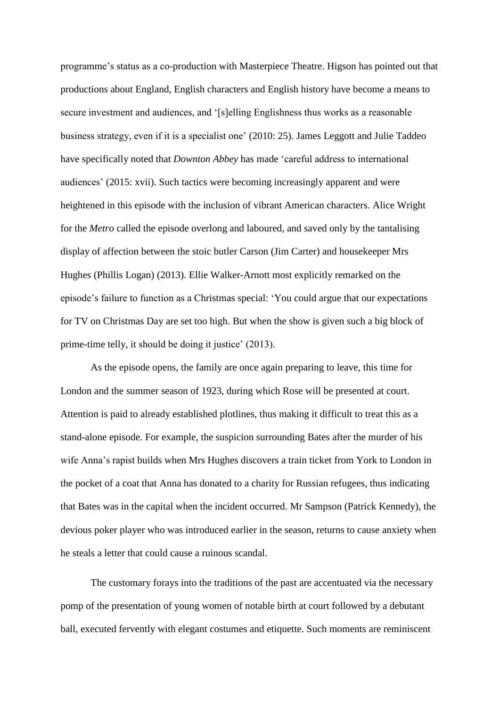programme's status as a co-production with Masterpiece Theatre. Higson has pointed out that productions about England, English characters and English history have become a means to secure investment and audiences, and '[s]elling Englishness thus works as a reasonable business strategy, even if it is a specialist one' (2010: 25). James Leggott and Julie Taddeo have specifically noted that *Downton Abbey* has made 'careful address to international audiences' (2015: xvii). Such tactics were becoming increasingly apparent and were heightened in this episode with the inclusion of vibrant American characters. Alice Wright for the *Metro* called the episode overlong and laboured, and saved only by the tantalising display of affection between the stoic butler Carson (Jim Carter) and housekeeper Mrs Hughes (Phillis Logan) (2013). Ellie Walker-Arnott most explicitly remarked on the episode's failure to function as a Christmas special: 'You could argue that our expectations for TV on Christmas Day are set too high. But when the show is given such a big block of prime-time telly, it should be doing it justice' (2013).

As the episode opens, the family are once again preparing to leave, this time for London and the summer season of 1923, during which Rose will be presented at court. Attention is paid to already established plotlines, thus making it difficult to treat this as a stand-alone episode. For example, the suspicion surrounding Bates after the murder of his wife Anna's rapist builds when Mrs Hughes discovers a train ticket from York to London in the pocket of a coat that Anna has donated to a charity for Russian refugees, thus indicating that Bates was in the capital when the incident occurred. Mr Sampson (Patrick Kennedy), the devious poker player who was introduced earlier in the season, returns to cause anxiety when he steals a letter that could cause a ruinous scandal.

The customary forays into the traditions of the past are accentuated via the necessary pomp of the presentation of young women of notable birth at court followed by a debutant ball, executed fervently with elegant costumes and etiquette. Such moments are reminiscent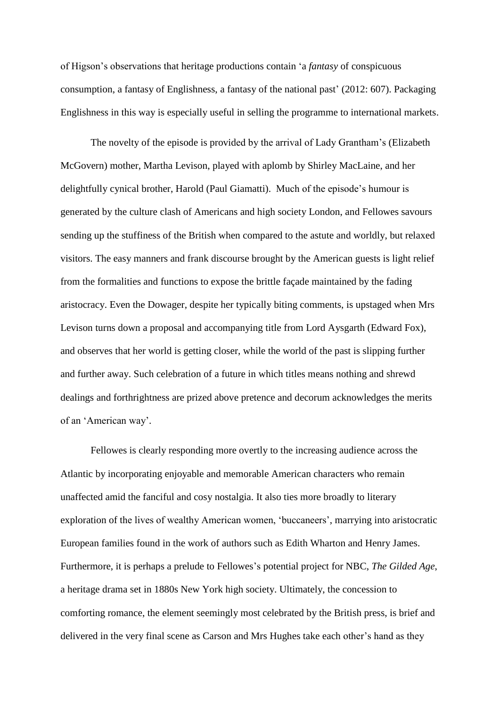of Higson's observations that heritage productions contain 'a *fantasy* of conspicuous consumption, a fantasy of Englishness, a fantasy of the national past' (2012: 607). Packaging Englishness in this way is especially useful in selling the programme to international markets.

The novelty of the episode is provided by the arrival of Lady Grantham's (Elizabeth McGovern) mother, Martha Levison, played with aplomb by Shirley MacLaine, and her delightfully cynical brother, Harold (Paul Giamatti). Much of the episode's humour is generated by the culture clash of Americans and high society London, and Fellowes savours sending up the stuffiness of the British when compared to the astute and worldly, but relaxed visitors. The easy manners and frank discourse brought by the American guests is light relief from the formalities and functions to expose the brittle façade maintained by the fading aristocracy. Even the Dowager, despite her typically biting comments, is upstaged when Mrs Levison turns down a proposal and accompanying title from Lord Aysgarth (Edward Fox), and observes that her world is getting closer, while the world of the past is slipping further and further away. Such celebration of a future in which titles means nothing and shrewd dealings and forthrightness are prized above pretence and decorum acknowledges the merits of an 'American way'.

Fellowes is clearly responding more overtly to the increasing audience across the Atlantic by incorporating enjoyable and memorable American characters who remain unaffected amid the fanciful and cosy nostalgia. It also ties more broadly to literary exploration of the lives of wealthy American women, 'buccaneers', marrying into aristocratic European families found in the work of authors such as Edith Wharton and Henry James. Furthermore, it is perhaps a prelude to Fellowes's potential project for NBC, *The Gilded Age*, a heritage drama set in 1880s New York high society. Ultimately, the concession to comforting romance, the element seemingly most celebrated by the British press, is brief and delivered in the very final scene as Carson and Mrs Hughes take each other's hand as they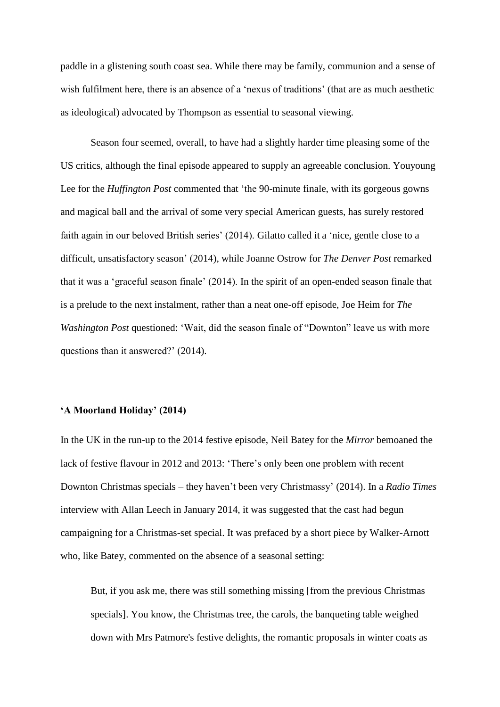paddle in a glistening south coast sea. While there may be family, communion and a sense of wish fulfilment here, there is an absence of a 'nexus of traditions' (that are as much aesthetic as ideological) advocated by Thompson as essential to seasonal viewing.

Season four seemed, overall, to have had a slightly harder time pleasing some of the US critics, although the final episode appeared to supply an agreeable conclusion. Youyoung Lee for the *Huffington Post* commented that 'the 90-minute finale, with its gorgeous gowns and magical ball and the arrival of some very special American guests, has surely restored faith again in our beloved British series' (2014). Gilatto called it a 'nice, gentle close to a difficult, unsatisfactory season' (2014), while Joanne Ostrow for *The Denver Post* remarked that it was a 'graceful season finale' (2014). In the spirit of an open-ended season finale that is a prelude to the next instalment, rather than a neat one-off episode, Joe Heim for *The Washington Post* questioned: 'Wait, did the season finale of "Downton" leave us with more questions than it answered?' (2014).

#### **'A Moorland Holiday' (2014)**

In the UK in the run-up to the 2014 festive episode, Neil Batey for the *Mirror* bemoaned the lack of festive flavour in 2012 and 2013: 'There's only been one problem with recent Downton Christmas specials – they haven't been very Christmassy' (2014). In a *Radio Times* interview with Allan Leech in January 2014, it was suggested that the cast had begun campaigning for a Christmas-set special. It was prefaced by a short piece by Walker-Arnott who, like Batey, commented on the absence of a seasonal setting:

But, if you ask me, there was still something missing [from the previous Christmas specials]. You know, the Christmas tree, the carols, the banqueting table weighed down with Mrs Patmore's festive delights, the romantic proposals in winter coats as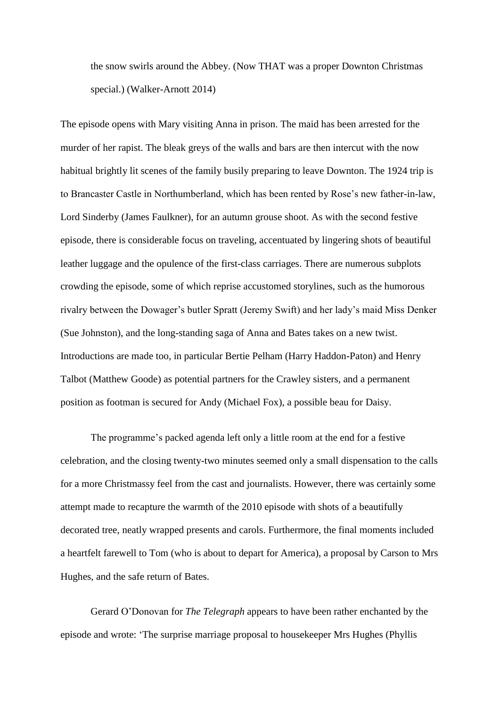the snow swirls around the Abbey. (Now THAT was a proper Downton Christmas special.) (Walker-Arnott 2014)

The episode opens with Mary visiting Anna in prison. The maid has been arrested for the murder of her rapist. The bleak greys of the walls and bars are then intercut with the now habitual brightly lit scenes of the family busily preparing to leave Downton. The 1924 trip is to Brancaster Castle in Northumberland, which has been rented by Rose's new father-in-law, Lord Sinderby (James Faulkner), for an autumn grouse shoot. As with the second festive episode, there is considerable focus on traveling, accentuated by lingering shots of beautiful leather luggage and the opulence of the first-class carriages. There are numerous subplots crowding the episode, some of which reprise accustomed storylines, such as the humorous rivalry between the Dowager's butler Spratt (Jeremy Swift) and her lady's maid Miss Denker (Sue Johnston), and the long-standing saga of Anna and Bates takes on a new twist. Introductions are made too, in particular Bertie Pelham (Harry Haddon-Paton) and Henry Talbot (Matthew Goode) as potential partners for the Crawley sisters, and a permanent position as footman is secured for Andy (Michael Fox), a possible beau for Daisy.

The programme's packed agenda left only a little room at the end for a festive celebration, and the closing twenty-two minutes seemed only a small dispensation to the calls for a more Christmassy feel from the cast and journalists. However, there was certainly some attempt made to recapture the warmth of the 2010 episode with shots of a beautifully decorated tree, neatly wrapped presents and carols. Furthermore, the final moments included a heartfelt farewell to Tom (who is about to depart for America), a proposal by Carson to Mrs Hughes, and the safe return of Bates.

Gerard O'Donovan for *The Telegraph* appears to have been rather enchanted by the episode and wrote: 'The surprise marriage proposal to housekeeper Mrs Hughes (Phyllis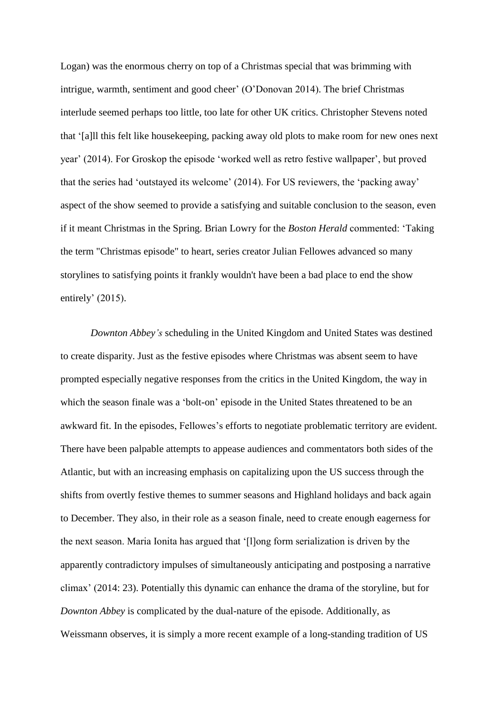Logan) was the enormous cherry on top of a Christmas special that was brimming with intrigue, warmth, sentiment and good cheer' (O'Donovan 2014). The brief Christmas interlude seemed perhaps too little, too late for other UK critics. Christopher Stevens noted that '[a]ll this felt like housekeeping, packing away old plots to make room for new ones next year' (2014). For Groskop the episode 'worked well as retro festive wallpaper', but proved that the series had 'outstayed its welcome' (2014). For US reviewers, the 'packing away' aspect of the show seemed to provide a satisfying and suitable conclusion to the season, even if it meant Christmas in the Spring. Brian Lowry for the *Boston Herald* commented: 'Taking the term "Christmas episode" to heart, series creator Julian Fellowes advanced so many storylines to satisfying points it frankly wouldn't have been a bad place to end the show entirely' (2015).

*Downton Abbey's* scheduling in the United Kingdom and United States was destined to create disparity. Just as the festive episodes where Christmas was absent seem to have prompted especially negative responses from the critics in the United Kingdom, the way in which the season finale was a 'bolt-on' episode in the United States threatened to be an awkward fit. In the episodes, Fellowes's efforts to negotiate problematic territory are evident. There have been palpable attempts to appease audiences and commentators both sides of the Atlantic, but with an increasing emphasis on capitalizing upon the US success through the shifts from overtly festive themes to summer seasons and Highland holidays and back again to December. They also, in their role as a season finale, need to create enough eagerness for the next season. Maria Ionita has argued that '[l]ong form serialization is driven by the apparently contradictory impulses of simultaneously anticipating and postposing a narrative climax' (2014: 23). Potentially this dynamic can enhance the drama of the storyline, but for *Downton Abbey* is complicated by the dual-nature of the episode. Additionally, as Weissmann observes, it is simply a more recent example of a long-standing tradition of US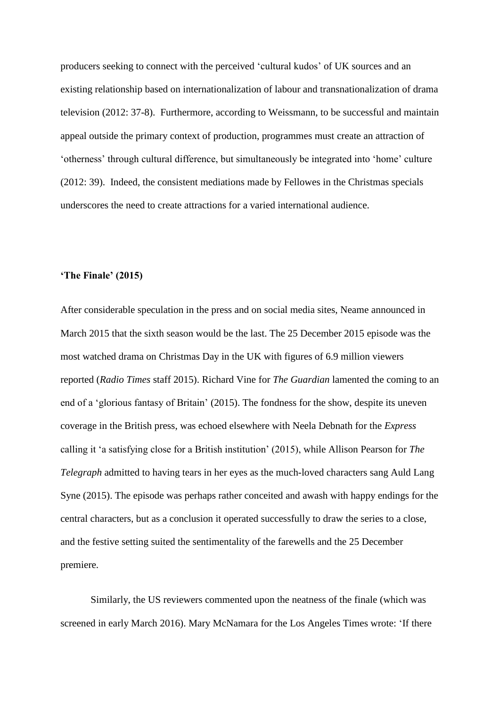producers seeking to connect with the perceived 'cultural kudos' of UK sources and an existing relationship based on internationalization of labour and transnationalization of drama television (2012: 37-8). Furthermore, according to Weissmann, to be successful and maintain appeal outside the primary context of production, programmes must create an attraction of 'otherness' through cultural difference, but simultaneously be integrated into 'home' culture (2012: 39). Indeed, the consistent mediations made by Fellowes in the Christmas specials underscores the need to create attractions for a varied international audience.

#### **'The Finale' (2015)**

After considerable speculation in the press and on social media sites, Neame announced in March 2015 that the sixth season would be the last. The 25 December 2015 episode was the most watched drama on Christmas Day in the UK with figures of 6.9 million viewers reported (*Radio Times* staff 2015). Richard Vine for *The Guardian* lamented the coming to an end of a 'glorious fantasy of Britain' (2015). The fondness for the show, despite its uneven coverage in the British press, was echoed elsewhere with Neela Debnath for the *Express* calling it 'a satisfying close for a British institution' (2015), while Allison Pearson for *The Telegraph* admitted to having tears in her eyes as the much-loved characters sang Auld Lang Syne (2015). The episode was perhaps rather conceited and awash with happy endings for the central characters, but as a conclusion it operated successfully to draw the series to a close, and the festive setting suited the sentimentality of the farewells and the 25 December premiere.

Similarly, the US reviewers commented upon the neatness of the finale (which was screened in early March 2016). Mary McNamara for the Los Angeles Times wrote: 'If there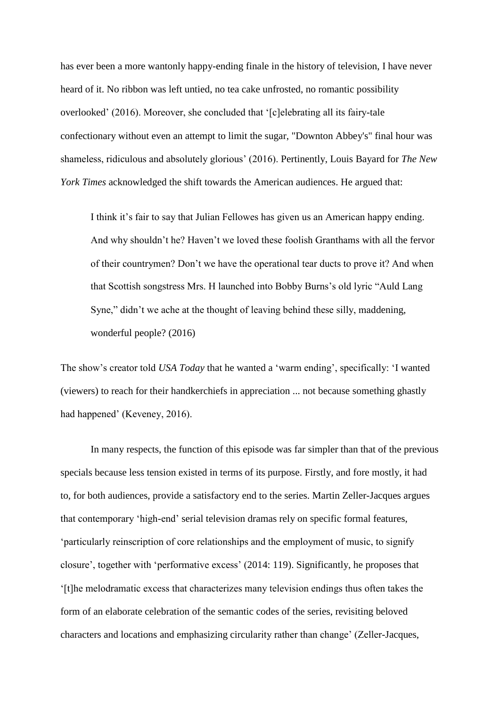has ever been a more wantonly happy-ending finale in the history of television, I have never heard of it. No ribbon was left untied, no tea cake unfrosted, no romantic possibility overlooked' (2016). Moreover, she concluded that '[c]elebrating all its fairy-tale confectionary without even an attempt to limit the sugar, "Downton Abbey's" final hour was shameless, ridiculous and absolutely glorious' (2016). Pertinently, Louis Bayard for *The New York Times* acknowledged the shift towards the American audiences. He argued that:

I think it's fair to say that Julian Fellowes has given us an American happy ending. And why shouldn't he? Haven't we loved these foolish Granthams with all the fervor of their countrymen? Don't we have the operational tear ducts to prove it? And when that Scottish songstress Mrs. H launched into Bobby Burns's old lyric "Auld Lang Syne," didn't we ache at the thought of leaving behind these silly, maddening, wonderful people? (2016)

The show's creator told *USA Today* that he wanted a 'warm ending', specifically: 'I wanted (viewers) to reach for their handkerchiefs in appreciation ... not because something ghastly had happened' (Keveney, 2016).

In many respects, the function of this episode was far simpler than that of the previous specials because less tension existed in terms of its purpose. Firstly, and fore mostly, it had to, for both audiences, provide a satisfactory end to the series. Martin Zeller-Jacques argues that contemporary 'high-end' serial television dramas rely on specific formal features, 'particularly reinscription of core relationships and the employment of music, to signify closure', together with 'performative excess' (2014: 119). Significantly, he proposes that '[t]he melodramatic excess that characterizes many television endings thus often takes the form of an elaborate celebration of the semantic codes of the series, revisiting beloved characters and locations and emphasizing circularity rather than change' (Zeller-Jacques,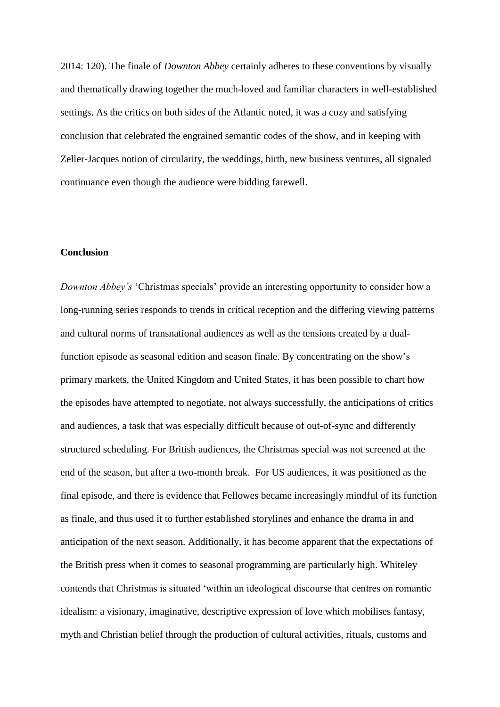2014: 120). The finale of *Downton Abbey* certainly adheres to these conventions by visually and thematically drawing together the much-loved and familiar characters in well-established settings. As the critics on both sides of the Atlantic noted, it was a cozy and satisfying conclusion that celebrated the engrained semantic codes of the show, and in keeping with Zeller-Jacques notion of circularity, the weddings, birth, new business ventures, all signaled continuance even though the audience were bidding farewell.

## **Conclusion**

*Downton Abbey's* 'Christmas specials' provide an interesting opportunity to consider how a long-running series responds to trends in critical reception and the differing viewing patterns and cultural norms of transnational audiences as well as the tensions created by a dualfunction episode as seasonal edition and season finale. By concentrating on the show's primary markets, the United Kingdom and United States, it has been possible to chart how the episodes have attempted to negotiate, not always successfully, the anticipations of critics and audiences, a task that was especially difficult because of out-of-sync and differently structured scheduling. For British audiences, the Christmas special was not screened at the end of the season, but after a two-month break. For US audiences, it was positioned as the final episode, and there is evidence that Fellowes became increasingly mindful of its function as finale, and thus used it to further established storylines and enhance the drama in and anticipation of the next season. Additionally, it has become apparent that the expectations of the British press when it comes to seasonal programming are particularly high. Whiteley contends that Christmas is situated 'within an ideological discourse that centres on romantic idealism: a visionary, imaginative, descriptive expression of love which mobilises fantasy, myth and Christian belief through the production of cultural activities, rituals, customs and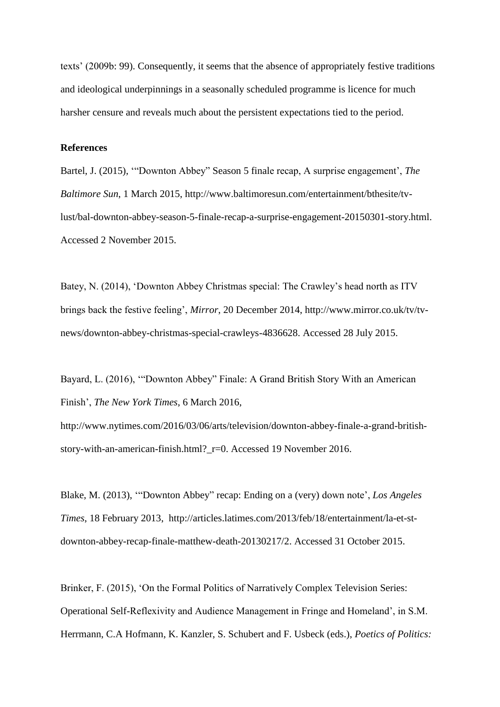texts' (2009b: 99). Consequently, it seems that the absence of appropriately festive traditions and ideological underpinnings in a seasonally scheduled programme is licence for much harsher censure and reveals much about the persistent expectations tied to the period.

#### **References**

Bartel, J. (2015), '"Downton Abbey" Season 5 finale recap, A surprise engagement', *The Baltimore Sun*, 1 March 2015, http://www.baltimoresun.com/entertainment/bthesite/tvlust/bal-downton-abbey-season-5-finale-recap-a-surprise-engagement-20150301-story.html. Accessed 2 November 2015.

Batey, N. (2014), 'Downton Abbey Christmas special: The Crawley's head north as ITV brings back the festive feeling', *Mirror*, 20 December 2014, http://www.mirror.co.uk/tv/tvnews/downton-abbey-christmas-special-crawleys-4836628. Accessed 28 July 2015.

Bayard, L. (2016), '"Downton Abbey" Finale: A Grand British Story With an American Finish', *The New York Times*, 6 March 2016,

http://www.nytimes.com/2016/03/06/arts/television/downton-abbey-finale-a-grand-britishstory-with-an-american-finish.html?\_r=0. Accessed 19 November 2016.

Blake, M. (2013), '"Downton Abbey" recap: Ending on a (very) down note', *Los Angeles Times*, 18 February 2013, http://articles.latimes.com/2013/feb/18/entertainment/la-et-stdownton-abbey-recap-finale-matthew-death-20130217/2. Accessed 31 October 2015.

Brinker, F. (2015), 'On the Formal Politics of Narratively Complex Television Series: Operational Self-Reflexivity and Audience Management in Fringe and Homeland', in S.M. Herrmann, C.A Hofmann, K. Kanzler, S. Schubert and F. Usbeck (eds.), *Poetics of Politics:*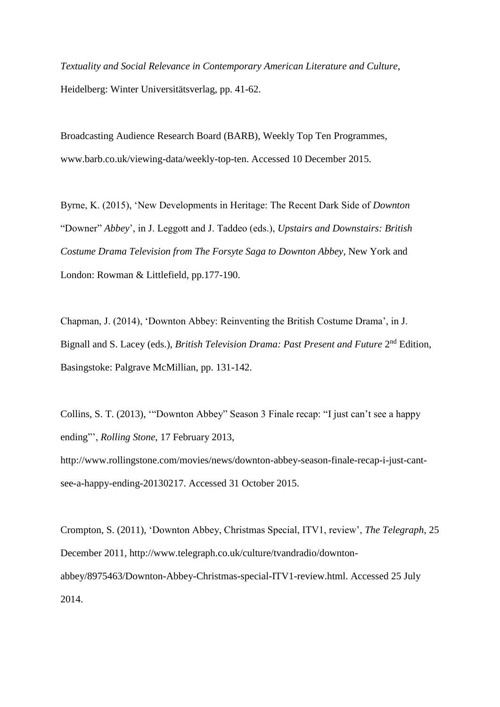*Textuality and Social Relevance in Contemporary American Literature and Culture*, Heidelberg: Winter Universitätsverlag, pp. 41-62.

Broadcasting Audience Research Board (BARB), Weekly Top Ten Programmes, www.barb.co.uk/viewing-data/weekly-top-ten. Accessed 10 December 2015.

Byrne, K. (2015), 'New Developments in Heritage: The Recent Dark Side of *Downton* "Downer" *Abbey*', in J. Leggott and J. Taddeo (eds.), *Upstairs and Downstairs: British Costume Drama Television from The Forsyte Saga to Downton Abbey*, New York and London: Rowman & Littlefield, pp.177-190.

Chapman, J. (2014), 'Downton Abbey: Reinventing the British Costume Drama', in J. Bignall and S. Lacey (eds.), *British Television Drama: Past Present and Future* 2<sup>nd</sup> Edition, Basingstoke: Palgrave McMillian, pp. 131-142.

Collins, S. T. (2013), '"Downton Abbey" Season 3 Finale recap: "I just can't see a happy ending"', *Rolling Stone*, 17 February 2013, http://www.rollingstone.com/movies/news/downton-abbey-season-finale-recap-i-just-cantsee-a-happy-ending-20130217. Accessed 31 October 2015.

Crompton, S. (2011), 'Downton Abbey, Christmas Special, ITV1, review', *The Telegraph*, 25 December 2011, http://www.telegraph.co.uk/culture/tvandradio/downtonabbey/8975463/Downton-Abbey-Christmas-special-ITV1-review.html. Accessed 25 July 2014.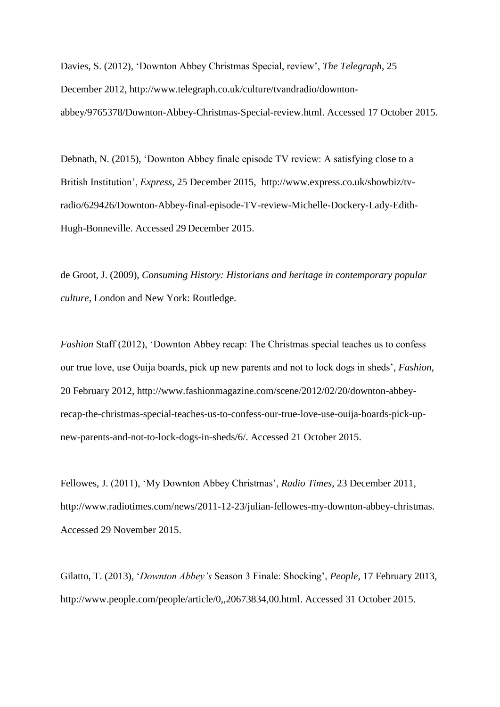Davies, S. (2012), 'Downton Abbey Christmas Special, review', *The Telegraph*, 25 December 2012, http://www.telegraph.co.uk/culture/tvandradio/downtonabbey/9765378/Downton-Abbey-Christmas-Special-review.html. Accessed 17 October 2015.

Debnath, N. (2015), 'Downton Abbey finale episode TV review: A satisfying close to a British Institution', *Express*, 25 December 2015, http://www.express.co.uk/showbiz/tvradio/629426/Downton-Abbey-final-episode-TV-review-Michelle-Dockery-Lady-Edith-Hugh-Bonneville. Accessed 29 December 2015.

de Groot, J. (2009), *Consuming History: Historians and heritage in contemporary popular culture*, London and New York: Routledge.

*Fashion* Staff (2012), 'Downton Abbey recap: The Christmas special teaches us to confess our true love, use Ouija boards, pick up new parents and not to lock dogs in sheds', *Fashion*, 20 February 2012, http://www.fashionmagazine.com/scene/2012/02/20/downton-abbeyrecap-the-christmas-special-teaches-us-to-confess-our-true-love-use-ouija-boards-pick-upnew-parents-and-not-to-lock-dogs-in-sheds/6/. Accessed 21 October 2015.

Fellowes, J. (2011), 'My Downton Abbey Christmas', *Radio Times*, 23 December 2011, http://www.radiotimes.com/news/2011-12-23/julian-fellowes-my-downton-abbey-christmas. Accessed 29 November 2015.

Gilatto, T. (2013), '*Downton Abbey's* Season 3 Finale: Shocking', *People,* 17 February 2013, http://www.people.com/people/article/0,,20673834,00.html. Accessed 31 October 2015.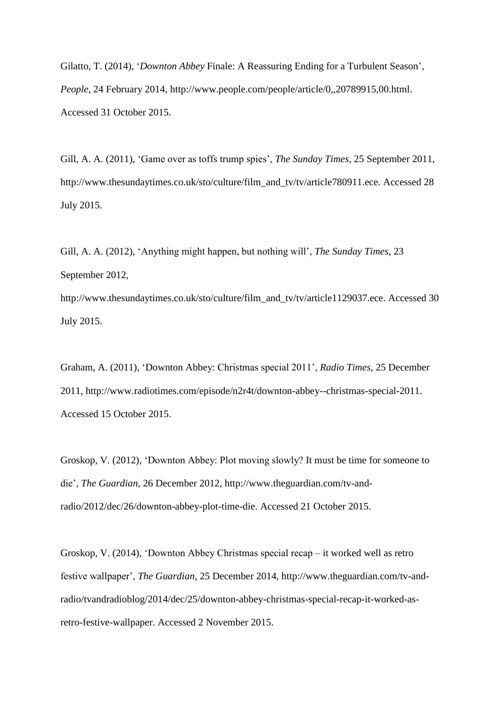Gilatto, T. (2014), '*Downton Abbey* Finale: A Reassuring Ending for a Turbulent Season', *People*, 24 February 2014, http://www.people.com/people/article/0,,20789915,00.html. Accessed 31 October 2015.

Gill, A. A. (2011), 'Game over as toffs trump spies', *The Sunday Times*, 25 September 2011, http://www.thesundaytimes.co.uk/sto/culture/film\_and\_tv/tv/article780911.ece. Accessed 28 July 2015.

Gill, A. A. (2012), 'Anything might happen, but nothing will', *The Sunday Times*, 23 September 2012,

http://www.thesundaytimes.co.uk/sto/culture/film\_and\_tv/tv/article1129037.ece. Accessed 30 July 2015.

Graham, A. (2011), 'Downton Abbey: Christmas special 2011', *Radio Times*, 25 December 2011, http://www.radiotimes.com/episode/n2r4t/downton-abbey--christmas-special-2011. Accessed 15 October 2015.

Groskop, V. (2012), 'Downton Abbey: Plot moving slowly? It must be time for someone to die', *The Guardian*, 26 December 2012, http://www.theguardian.com/tv-andradio/2012/dec/26/downton-abbey-plot-time-die. Accessed 21 October 2015.

Groskop, V. (2014), 'Downton Abbey Christmas special recap – it worked well as retro festive wallpaper', *The Guardian*, 25 December 2014, http://www.theguardian.com/tv-andradio/tvandradioblog/2014/dec/25/downton-abbey-christmas-special-recap-it-worked-asretro-festive-wallpaper. Accessed 2 November 2015.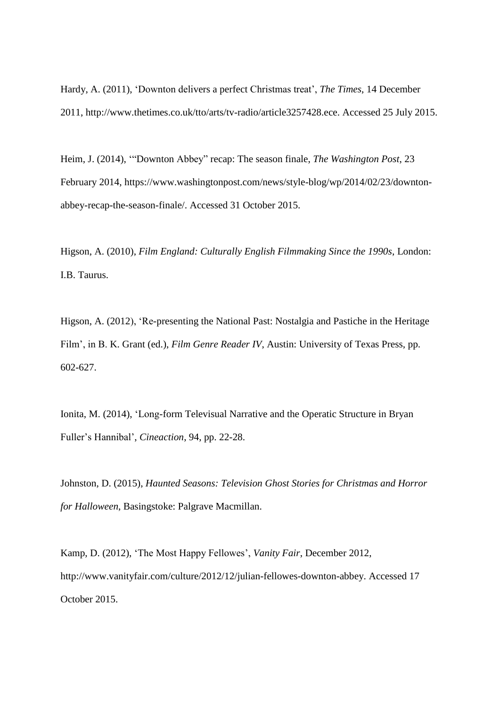Hardy, A. (2011), 'Downton delivers a perfect Christmas treat', *The Times*, 14 December 2011, http://www.thetimes.co.uk/tto/arts/tv-radio/article3257428.ece. Accessed 25 July 2015.

Heim, J. (2014), '"Downton Abbey" recap: The season finale, *The Washington Post*, 23 February 2014, https://www.washingtonpost.com/news/style-blog/wp/2014/02/23/downtonabbey-recap-the-season-finale/. Accessed 31 October 2015.

Higson, A. (2010), *Film England: Culturally English Filmmaking Since the 1990s*, London: I.B. Taurus.

Higson, A. (2012), 'Re-presenting the National Past: Nostalgia and Pastiche in the Heritage Film', in B. K. Grant (ed.), *Film Genre Reader IV*, Austin: University of Texas Press, pp. 602-627.

Ionita, M. (2014), 'Long-form Televisual Narrative and the Operatic Structure in Bryan Fuller's Hannibal', *Cineaction*, 94, pp. 22-28.

Johnston, D. (2015), *Haunted Seasons: Television Ghost Stories for Christmas and Horror for Halloween*, Basingstoke: Palgrave Macmillan.

Kamp, D. (2012), 'The Most Happy Fellowes', *Vanity Fair*, December 2012, http://www.vanityfair.com/culture/2012/12/julian-fellowes-downton-abbey. Accessed 17 October 2015.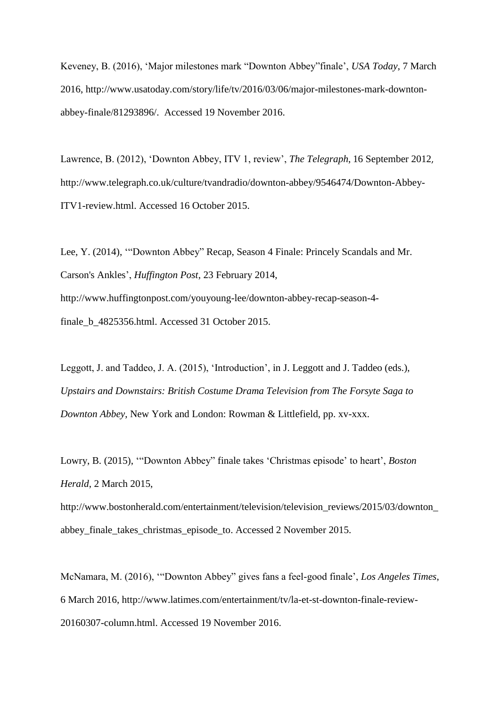Keveney, B. (2016), 'Major milestones mark "Downton Abbey"finale', *USA Today*, 7 March 2016, http://www.usatoday.com/story/life/tv/2016/03/06/major-milestones-mark-downtonabbey-finale/81293896/. Accessed 19 November 2016.

Lawrence, B. (2012), 'Downton Abbey, ITV 1, review', *The Telegraph*, 16 September 2012, http://www.telegraph.co.uk/culture/tvandradio/downton-abbey/9546474/Downton-Abbey-ITV1-review.html. Accessed 16 October 2015.

Lee, Y. (2014), '"Downton Abbey" Recap, Season 4 Finale: Princely Scandals and Mr. Carson's Ankles', *Huffington Post*, 23 February 2014, http://www.huffingtonpost.com/youyoung-lee/downton-abbey-recap-season-4-

finale\_b\_4825356.html. Accessed 31 October 2015.

Leggott, J. and Taddeo, J. A. (2015), 'Introduction', in J. Leggott and J. Taddeo (eds.), *Upstairs and Downstairs: British Costume Drama Television from The Forsyte Saga to Downton Abbey*, New York and London: Rowman & Littlefield, pp. xv-xxx.

Lowry, B. (2015), '"Downton Abbey" finale takes 'Christmas episode' to heart', *Boston Herald*, 2 March 2015,

http://www.bostonherald.com/entertainment/television/television\_reviews/2015/03/downton abbey\_finale\_takes\_christmas\_episode\_to. Accessed 2 November 2015.

McNamara, M. (2016), '"Downton Abbey" gives fans a feel-good finale', *Los Angeles Times*, 6 March 2016, http://www.latimes.com/entertainment/tv/la-et-st-downton-finale-review-20160307-column.html. Accessed 19 November 2016.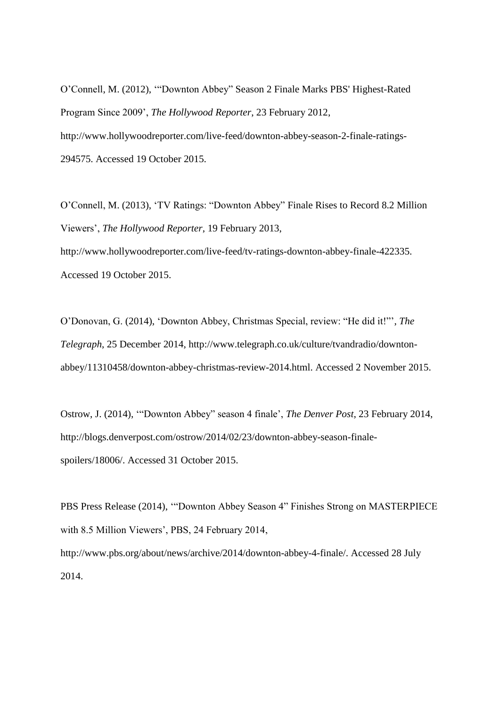O'Connell, M. (2012), '"Downton Abbey" Season 2 Finale Marks PBS' Highest-Rated Program Since 2009', *The Hollywood Reporter*, 23 February 2012, http://www.hollywoodreporter.com/live-feed/downton-abbey-season-2-finale-ratings-294575. Accessed 19 October 2015.

O'Connell, M. (2013), 'TV Ratings: "Downton Abbey" Finale Rises to Record 8.2 Million Viewers', *The Hollywood Reporter*, 19 February 2013,

http://www.hollywoodreporter.com/live-feed/tv-ratings-downton-abbey-finale-422335. Accessed 19 October 2015.

O'Donovan, G. (2014), 'Downton Abbey, Christmas Special, review: "He did it!"', *The Telegraph*, 25 December 2014, http://www.telegraph.co.uk/culture/tvandradio/downtonabbey/11310458/downton-abbey-christmas-review-2014.html. Accessed 2 November 2015.

Ostrow, J. (2014), '"Downton Abbey" season 4 finale', *The Denver Post*, 23 February 2014, http://blogs.denverpost.com/ostrow/2014/02/23/downton-abbey-season-finalespoilers/18006/. Accessed 31 October 2015.

PBS Press Release (2014), '"Downton Abbey Season 4" Finishes Strong on MASTERPIECE with 8.5 Million Viewers', PBS, 24 February 2014, http://www.pbs.org/about/news/archive/2014/downton-abbey-4-finale/. Accessed 28 July 2014.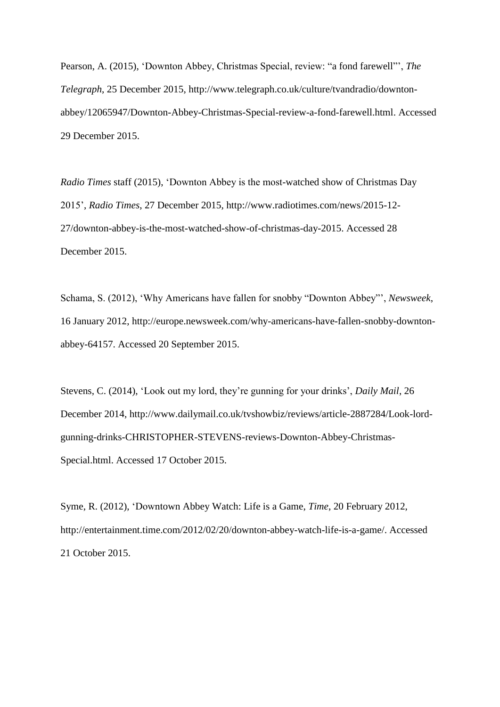Pearson, A. (2015), 'Downton Abbey, Christmas Special, review: "a fond farewell"', *The Telegraph*, 25 December 2015, http://www.telegraph.co.uk/culture/tvandradio/downtonabbey/12065947/Downton-Abbey-Christmas-Special-review-a-fond-farewell.html. Accessed 29 December 2015.

*Radio Times* staff (2015), 'Downton Abbey is the most-watched show of Christmas Day 2015', *Radio Times*, 27 December 2015, http://www.radiotimes.com/news/2015-12- 27/downton-abbey-is-the-most-watched-show-of-christmas-day-2015. Accessed 28 December 2015.

Schama, S. (2012), 'Why Americans have fallen for snobby "Downton Abbey"', *Newsweek*, 16 January 2012, http://europe.newsweek.com/why-americans-have-fallen-snobby-downtonabbey-64157. Accessed 20 September 2015.

Stevens, C. (2014), 'Look out my lord, they're gunning for your drinks', *Daily Mail*, 26 December 2014, http://www.dailymail.co.uk/tvshowbiz/reviews/article-2887284/Look-lordgunning-drinks-CHRISTOPHER-STEVENS-reviews-Downton-Abbey-Christmas-Special.html. Accessed 17 October 2015.

Syme, R. (2012), 'Downtown Abbey Watch: Life is a Game, *Time*, 20 February 2012, http://entertainment.time.com/2012/02/20/downton-abbey-watch-life-is-a-game/. Accessed 21 October 2015.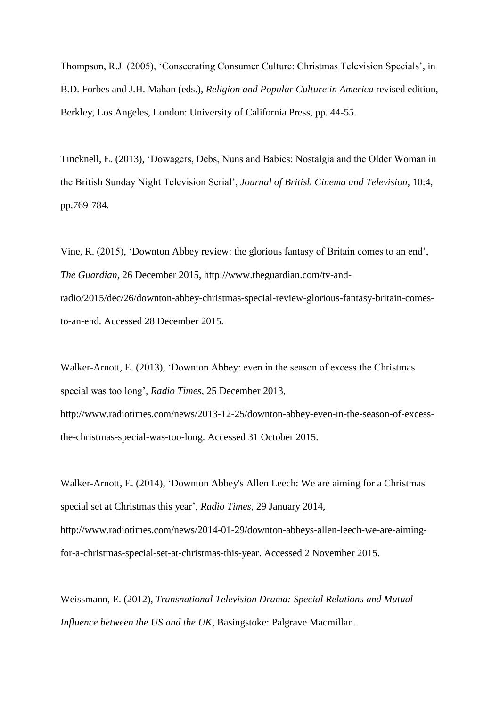Thompson, R.J. (2005), 'Consecrating Consumer Culture: Christmas Television Specials', in B.D. Forbes and J.H. Mahan (eds.), *Religion and Popular Culture in America* revised edition, Berkley, Los Angeles, London: University of California Press, pp. 44-55.

Tincknell, E. (2013), 'Dowagers, Debs, Nuns and Babies: Nostalgia and the Older Woman in the British Sunday Night Television Serial', *Journal of British Cinema and Television*, 10:4, pp.769-784.

Vine, R. (2015), 'Downton Abbey review: the glorious fantasy of Britain comes to an end', *The Guardian*, 26 December 2015, http://www.theguardian.com/tv-andradio/2015/dec/26/downton-abbey-christmas-special-review-glorious-fantasy-britain-comesto-an-end. Accessed 28 December 2015.

Walker-Arnott, E. (2013), 'Downton Abbey: even in the season of excess the Christmas special was too long', *Radio Times*, 25 December 2013,

http://www.radiotimes.com/news/2013-12-25/downton-abbey-even-in-the-season-of-excessthe-christmas-special-was-too-long. Accessed 31 October 2015.

Walker-Arnott, E. (2014), 'Downton Abbey's Allen Leech: We are aiming for a Christmas special set at Christmas this year', *Radio Times*, 29 January 2014, http://www.radiotimes.com/news/2014-01-29/downton-abbeys-allen-leech-we-are-aimingfor-a-christmas-special-set-at-christmas-this-year. Accessed 2 November 2015.

Weissmann, E. (2012), *Transnational Television Drama: Special Relations and Mutual Influence between the US and the UK*, Basingstoke: Palgrave Macmillan.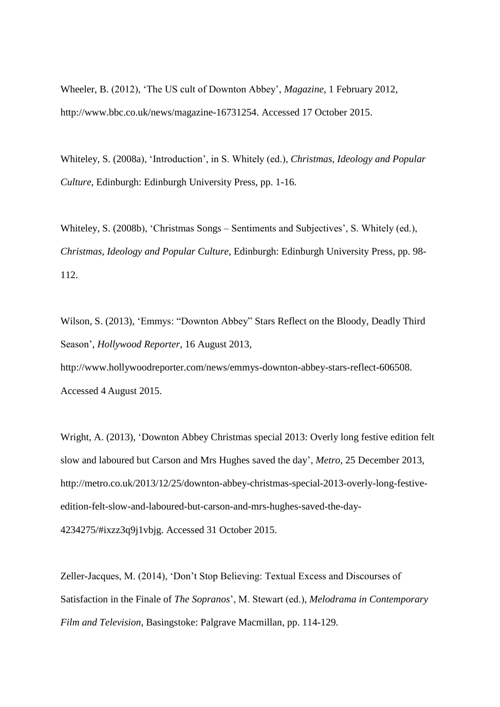Wheeler, B. (2012), 'The US cult of Downton Abbey', *Magazine*, 1 February 2012, http://www.bbc.co.uk/news/magazine-16731254. Accessed 17 October 2015.

Whiteley, S. (2008a), 'Introduction', in S. Whitely (ed.), *Christmas, Ideology and Popular Culture*, Edinburgh: Edinburgh University Press, pp. 1-16.

Whiteley, S. (2008b), 'Christmas Songs – Sentiments and Subjectives', S. Whitely (ed.), *Christmas, Ideology and Popular Culture*, Edinburgh: Edinburgh University Press, pp. 98- 112.

Wilson, S. (2013), 'Emmys: "Downton Abbey" Stars Reflect on the Bloody, Deadly Third Season', *Hollywood Reporter*, 16 August 2013,

http://www.hollywoodreporter.com/news/emmys-downton-abbey-stars-reflect-606508. Accessed 4 August 2015.

Wright, A. (2013), 'Downton Abbey Christmas special 2013: Overly long festive edition felt slow and laboured but Carson and Mrs Hughes saved the day', *Metro*, 25 December 2013, http://metro.co.uk/2013/12/25/downton-abbey-christmas-special-2013-overly-long-festiveedition-felt-slow-and-laboured-but-carson-and-mrs-hughes-saved-the-day-4234275/#ixzz3q9j1vbjg. Accessed 31 October 2015.

Zeller-Jacques, M. (2014), 'Don't Stop Believing: Textual Excess and Discourses of Satisfaction in the Finale of *The Sopranos*', M. Stewart (ed.), *Melodrama in Contemporary Film and Television*, Basingstoke: Palgrave Macmillan, pp. 114-129.